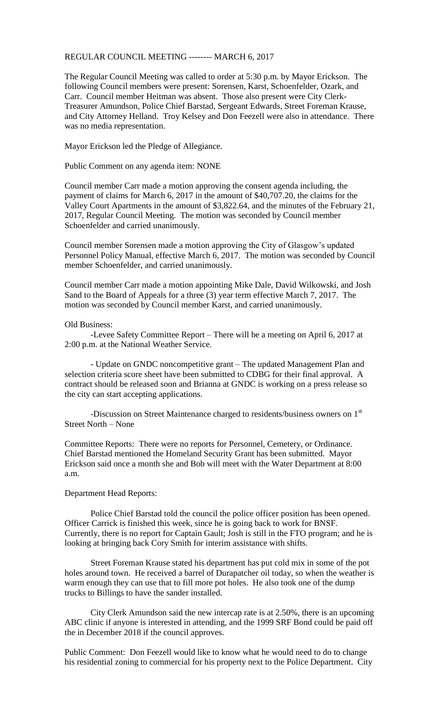## REGULAR COUNCIL MEETING -------- MARCH 6, 2017

The Regular Council Meeting was called to order at 5:30 p.m. by Mayor Erickson. The following Council members were present: Sorensen, Karst, Schoenfelder, Ozark, and Carr. Council member Heitman was absent. Those also present were City Clerk-Treasurer Amundson, Police Chief Barstad, Sergeant Edwards, Street Foreman Krause, and City Attorney Helland. Troy Kelsey and Don Feezell were also in attendance. There was no media representation.

Mayor Erickson led the Pledge of Allegiance.

Public Comment on any agenda item: NONE

Council member Carr made a motion approving the consent agenda including, the payment of claims for March 6, 2017 in the amount of \$40,707.20, the claims for the Valley Court Apartments in the amount of \$3,822.64, and the minutes of the February 21, 2017, Regular Council Meeting. The motion was seconded by Council member Schoenfelder and carried unanimously.

Council member Sorensen made a motion approving the City of Glasgow's updated Personnel Policy Manual, effective March 6, 2017. The motion was seconded by Council member Schoenfelder, and carried unanimously.

Council member Carr made a motion appointing Mike Dale, David Wilkowski, and Josh Sand to the Board of Appeals for a three (3) year term effective March 7, 2017. The motion was seconded by Council member Karst, and carried unanimously.

## Old Business:

-Levee Safety Committee Report – There will be a meeting on April 6, 2017 at 2:00 p.m. at the National Weather Service.

- Update on GNDC noncompetitive grant – The updated Management Plan and selection criteria score sheet have been submitted to CDBG for their final approval. A contract should be released soon and Brianna at GNDC is working on a press release so the city can start accepting applications.

-Discussion on Street Maintenance charged to residents/business owners on 1<sup>st</sup> Street North – None

Committee Reports: There were no reports for Personnel, Cemetery, or Ordinance. Chief Barstad mentioned the Homeland Security Grant has been submitted. Mayor Erickson said once a month she and Bob will meet with the Water Department at 8:00 a.m.

## Department Head Reports:

Police Chief Barstad told the council the police officer position has been opened. Officer Carrick is finished this week, since he is going back to work for BNSF. Currently, there is no report for Captain Gault; Josh is still in the FTO program; and he is looking at bringing back Cory Smith for interim assistance with shifts.

Street Foreman Krause stated his department has put cold mix in some of the pot holes around town. He received a barrel of Durapatcher oil today, so when the weather is warm enough they can use that to fill more pot holes. He also took one of the dump trucks to Billings to have the sander installed.

City Clerk Amundson said the new intercap rate is at 2.50%, there is an upcoming ABC clinic if anyone is interested in attending, and the 1999 SRF Bond could be paid off the in December 2018 if the council approves.

Public Comment: Don Feezell would like to know what he would need to do to change his residential zoning to commercial for his property next to the Police Department. City